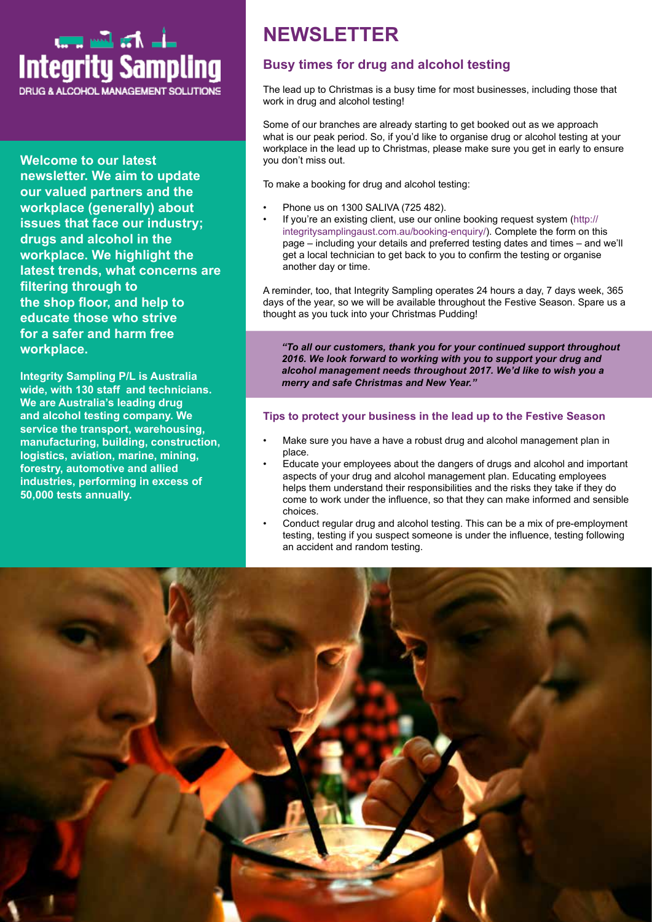

**Welcome to our latest newsletter. We aim to update our valued partners and the workplace (generally) about issues that face our industry; drugs and alcohol in the workplace. We highlight the latest trends, what concerns are filtering through to the shop floor, and help to educate those who strive for a safer and harm free workplace.**

**Integrity Sampling P/L is Australia wide, with 130 staff and technicians. We are Australia's leading drug and alcohol testing company. We service the transport, warehousing, manufacturing, building, construction, logistics, aviation, marine, mining, forestry, automotive and allied industries, performing in excess of 50,000 tests annually.**

# **NEWSLETTER**

## **Busy times for drug and alcohol testing**

The lead up to Christmas is a busy time for most businesses, including those that work in drug and alcohol testing!

Some of our branches are already starting to get booked out as we approach what is our peak period. So, if you'd like to organise drug or alcohol testing at your workplace in the lead up to Christmas, please make sure you get in early to ensure you don't miss out.

To make a booking for drug and alcohol testing:

- Phone us on 1300 SALIVA (725 482).
- If you're an existing client, use our online booking request system (http:// integritysamplingaust.com.au/booking-enquiry/). Complete the form on this page – including your details and preferred testing dates and times – and we'll get a local technician to get back to you to confirm the testing or organise another day or time.

A reminder, too, that Integrity Sampling operates 24 hours a day, 7 days week, 365 days of the year, so we will be available throughout the Festive Season. Spare us a thought as you tuck into your Christmas Pudding!

*"To all our customers, thank you for your continued support throughout 2016. We look forward to working with you to support your drug and alcohol management needs throughout 2017. We'd like to wish you a merry and safe Christmas and New Year."*

#### **Tips to protect your business in the lead up to the Festive Season**

- Make sure you have a have a robust drug and alcohol management plan in place.
- Educate your employees about the dangers of drugs and alcohol and important aspects of your drug and alcohol management plan. Educating employees helps them understand their responsibilities and the risks they take if they do come to work under the influence, so that they can make informed and sensible choices.
- Conduct regular drug and alcohol testing. This can be a mix of pre-employment testing, testing if you suspect someone is under the influence, testing following an accident and random testing.